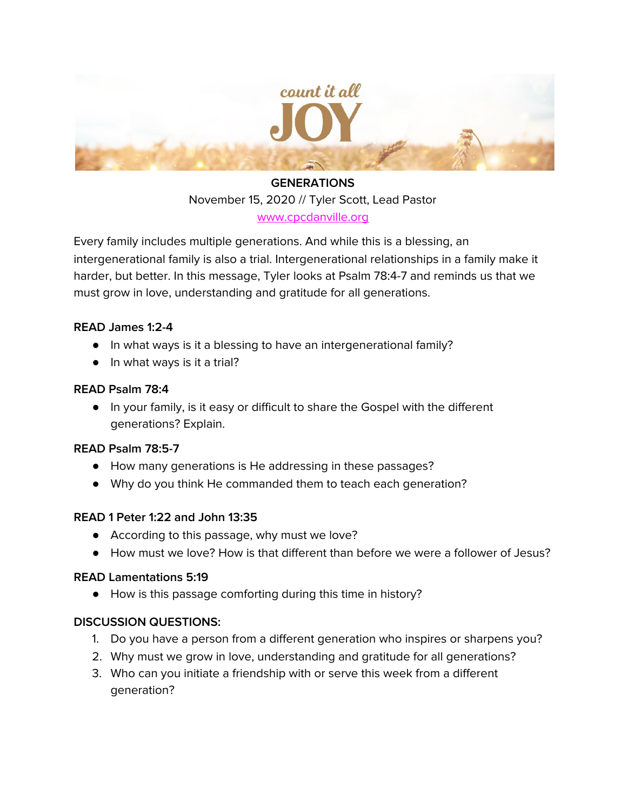

# **GENERATIONS** November 15, 2020 // Tyler Scott, Lead Pastor

[www.cpcdanville.org](http://www.cpcdanville.org/)

Every family includes multiple generations. And while this is a blessing, an intergenerational family is also a trial. Intergenerational relationships in a family make it harder, but better. In this message, Tyler looks at Psalm 78:4-7 and reminds us that we must grow in love, understanding and gratitude for all generations.

# **READ James 1:2-4**

- In what ways is it a blessing to have an intergenerational family?
- In what ways is it a trial?

#### **READ Psalm 78:4**

● In your family, is it easy or difficult to share the Gospel with the different generations? Explain.

#### **READ Psalm 78:5-7**

- How many generations is He addressing in these passages?
- Why do you think He commanded them to teach each generation?

# **READ 1 Peter 1:22 and John 13:35**

- According to this passage, why must we love?
- How must we love? How is that different than before we were a follower of Jesus?

#### **READ Lamentations 5:19**

● How is this passage comforting during this time in history?

# **DISCUSSION QUESTIONS:**

- 1. Do you have a person from a different generation who inspires or sharpens you?
- 2. Why must we grow in love, understanding and gratitude for all generations?
- 3. Who can you initiate a friendship with or serve this week from a different generation?